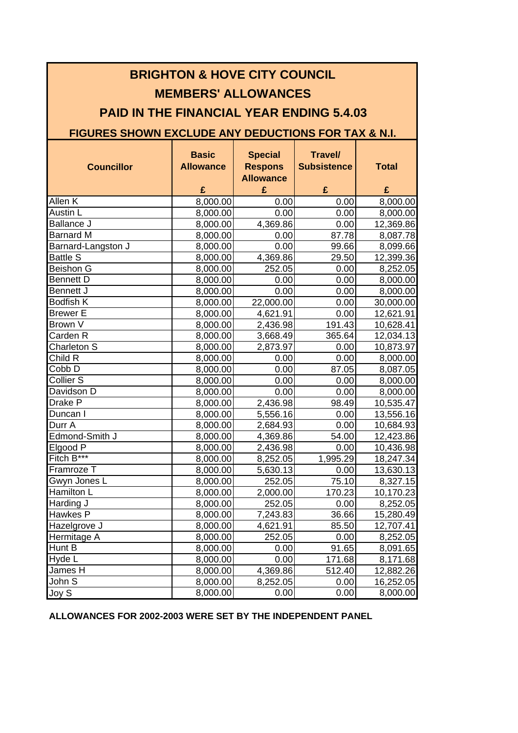| <b>BRIGHTON &amp; HOVE CITY COUNCIL</b><br><b>MEMBERS' ALLOWANCES</b><br><b>PAID IN THE FINANCIAL YEAR ENDING 5.4.03</b><br><b>FIGURES SHOWN EXCLUDE ANY DEDUCTIONS FOR TAX &amp; N.I.</b> |                                       |                                                           |                                           |                       |  |  |  |
|--------------------------------------------------------------------------------------------------------------------------------------------------------------------------------------------|---------------------------------------|-----------------------------------------------------------|-------------------------------------------|-----------------------|--|--|--|
| <b>Councillor</b>                                                                                                                                                                          | <b>Basic</b><br><b>Allowance</b><br>£ | <b>Special</b><br><b>Respons</b><br><b>Allowance</b><br>£ | <b>Travel/</b><br><b>Subsistence</b><br>£ | <b>Total</b><br>£     |  |  |  |
| Allen K                                                                                                                                                                                    |                                       |                                                           |                                           |                       |  |  |  |
| Austin L                                                                                                                                                                                   | 8,000.00                              | 0.00                                                      | 0.00<br>0.00                              | 8,000.00              |  |  |  |
| <b>Ballance J</b>                                                                                                                                                                          | 8,000.00                              | 0.00<br>4,369.86                                          |                                           | 8,000.00              |  |  |  |
| Barnard M                                                                                                                                                                                  | 8,000.00<br>8,000.00                  | 0.00                                                      | 0.00<br>87.78                             | 12,369.86<br>8,087.78 |  |  |  |
| Barnard-Langston J                                                                                                                                                                         | 8,000.00                              | 0.00                                                      | 99.66                                     | 8,099.66              |  |  |  |
| <b>Battle S</b>                                                                                                                                                                            | 8,000.00                              | 4,369.86                                                  | 29.50                                     | 12,399.36             |  |  |  |
| Beishon G                                                                                                                                                                                  | 8,000.00                              | 252.05                                                    | 0.00                                      | 8,252.05              |  |  |  |
| <b>Bennett D</b>                                                                                                                                                                           | 8,000.00                              | 0.00                                                      | 0.00                                      | 8,000.00              |  |  |  |
| Bennett J                                                                                                                                                                                  | 8,000.00                              | 0.00                                                      | 0.00                                      | 8,000.00              |  |  |  |
| <b>Bodfish K</b>                                                                                                                                                                           | 8,000.00                              | 22,000.00                                                 | 0.00                                      | 30,000.00             |  |  |  |
| <b>Brewer E</b>                                                                                                                                                                            | 8,000.00                              | 4,621.91                                                  | 0.00                                      | 12,621.91             |  |  |  |
| Brown V                                                                                                                                                                                    | 8,000.00                              | 2,436.98                                                  | 191.43                                    | 10,628.41             |  |  |  |
| Carden <sub>R</sub>                                                                                                                                                                        | 8,000.00                              | 3,668.49                                                  | 365.64                                    | 12,034.13             |  |  |  |
| Charleton S                                                                                                                                                                                | 8,000.00                              | 2,873.97                                                  | 0.00                                      | 10,873.97             |  |  |  |
| Child R                                                                                                                                                                                    | 8,000.00                              | 0.00                                                      | 0.00                                      | 8,000.00              |  |  |  |
| Cobb D                                                                                                                                                                                     | 8,000.00                              | 0.00                                                      | 87.05                                     | 8,087.05              |  |  |  |
| Collier <sub>S</sub>                                                                                                                                                                       | 8,000.00                              | 0.00                                                      | 0.00                                      | 8,000.00              |  |  |  |
| Davidson D                                                                                                                                                                                 | 8,000.00                              | 0.00                                                      | 0.00                                      | 8,000.00              |  |  |  |
| Drake P                                                                                                                                                                                    | 8,000.00                              | 2,436.98                                                  | 98.49                                     | 10,535.47             |  |  |  |
| Duncan I                                                                                                                                                                                   | 8,000.00                              | 5,556.16                                                  | 0.00                                      | 13,556.16             |  |  |  |
| Durr A                                                                                                                                                                                     | 8,000.00                              | 2,684.93                                                  | 0.00                                      | 10,684.93             |  |  |  |
| Edmond-Smith J                                                                                                                                                                             | 8,000.00                              | 4,369.86                                                  | 54.00                                     | 12,423.86             |  |  |  |
| Elgood P                                                                                                                                                                                   | 8,000.00                              | 2.436.98                                                  | 0.00                                      | 10,436.98             |  |  |  |
| Fitch $B***$                                                                                                                                                                               | 8,000.00                              | 8,252.05                                                  | 1,995.29                                  | 18,247.34             |  |  |  |
| Framroze T                                                                                                                                                                                 | 8,000.00                              | 5,630.13                                                  | 0.00                                      | 13,630.13             |  |  |  |
| Gwyn Jones L                                                                                                                                                                               | 8,000.00                              | 252.05                                                    | 75.10                                     | 8,327.15              |  |  |  |
| Hamilton L                                                                                                                                                                                 | 8,000.00                              | 2,000.00                                                  | 170.23                                    | 10,170.23             |  |  |  |
| Harding J                                                                                                                                                                                  | 8,000.00                              | 252.05                                                    | 0.00                                      | 8,252.05              |  |  |  |
| Hawkes P                                                                                                                                                                                   | 8,000.00                              | 7,243.83                                                  | 36.66                                     | 15,280.49             |  |  |  |
| Hazelgrove J                                                                                                                                                                               | 8,000.00                              | 4,621.91                                                  | 85.50                                     | 12,707.41             |  |  |  |
| Hermitage A                                                                                                                                                                                | 8,000.00                              | 252.05                                                    | 0.00                                      | 8,252.05              |  |  |  |
| Hunt B                                                                                                                                                                                     | 8,000.00                              | 0.00                                                      | 91.65                                     | 8,091.65              |  |  |  |
| Hyde L                                                                                                                                                                                     | 8,000.00                              | 0.00                                                      | 171.68                                    | 8,171.68              |  |  |  |
| James H                                                                                                                                                                                    | 8,000.00                              | 4,369.86                                                  | 512.40                                    | 12,882.26             |  |  |  |
| John S                                                                                                                                                                                     | 8,000.00                              | 8,252.05                                                  | 0.00                                      | 16,252.05             |  |  |  |
| Joy S                                                                                                                                                                                      | 8,000.00                              | 0.00                                                      | 0.00                                      | 8,000.00              |  |  |  |

**ALLOWANCES FOR 2002-2003 WERE SET BY THE INDEPENDENT PANEL**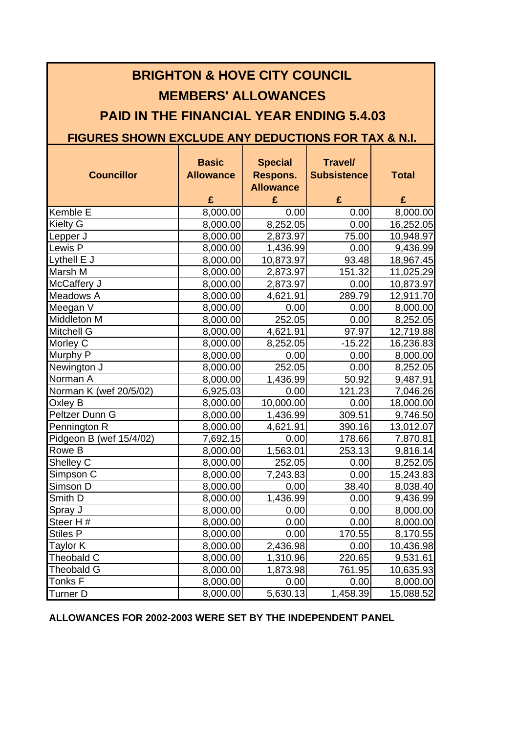| <b>BRIGHTON &amp; HOVE CITY COUNCIL</b>                                                                                                         |          |           |          |           |  |  |  |                   |                                       |                                                     |                                           |                   |
|-------------------------------------------------------------------------------------------------------------------------------------------------|----------|-----------|----------|-----------|--|--|--|-------------------|---------------------------------------|-----------------------------------------------------|-------------------------------------------|-------------------|
| <b>MEMBERS' ALLOWANCES</b><br><b>PAID IN THE FINANCIAL YEAR ENDING 5.4.03</b><br><b>FIGURES SHOWN EXCLUDE ANY DEDUCTIONS FOR TAX &amp; N.I.</b> |          |           |          |           |  |  |  |                   |                                       |                                                     |                                           |                   |
|                                                                                                                                                 |          |           |          |           |  |  |  | <b>Councillor</b> | <b>Basic</b><br><b>Allowance</b><br>£ | <b>Special</b><br>Respons.<br><b>Allowance</b><br>£ | <b>Travel/</b><br><b>Subsistence</b><br>£ | <b>Total</b><br>£ |
|                                                                                                                                                 |          |           |          |           |  |  |  | Kemble E          | 8,000.00                              | 0.00                                                | 0.00                                      | 8,000.00          |
|                                                                                                                                                 |          |           |          |           |  |  |  | Kielty G          | 8,000.00                              | 8,252.05                                            | 0.00                                      | 16,252.05         |
| Lepper J                                                                                                                                        | 8,000.00 | 2,873.97  | 75.00    | 10,948.97 |  |  |  |                   |                                       |                                                     |                                           |                   |
| Lewis P                                                                                                                                         | 8,000.00 | 1,436.99  | 0.00     | 9,436.99  |  |  |  |                   |                                       |                                                     |                                           |                   |
| Lythell E J                                                                                                                                     | 8,000.00 | 10,873.97 | 93.48    | 18,967.45 |  |  |  |                   |                                       |                                                     |                                           |                   |
| Marsh M                                                                                                                                         | 8,000.00 | 2,873.97  | 151.32   | 11,025.29 |  |  |  |                   |                                       |                                                     |                                           |                   |
| McCaffery J                                                                                                                                     | 8,000.00 | 2,873.97  | 0.00     | 10,873.97 |  |  |  |                   |                                       |                                                     |                                           |                   |
| Meadows A                                                                                                                                       | 8,000.00 | 4,621.91  | 289.79   | 12,911.70 |  |  |  |                   |                                       |                                                     |                                           |                   |
| Meegan V                                                                                                                                        | 8,000.00 | 0.00      | 0.00     | 8,000.00  |  |  |  |                   |                                       |                                                     |                                           |                   |
| Middleton M                                                                                                                                     | 8,000.00 | 252.05    | 0.00     | 8,252.05  |  |  |  |                   |                                       |                                                     |                                           |                   |
| Mitchell G                                                                                                                                      | 8,000.00 | 4,621.91  | 97.97    | 12,719.88 |  |  |  |                   |                                       |                                                     |                                           |                   |
| Morley C                                                                                                                                        | 8,000.00 | 8,252.05  | $-15.22$ | 16,236.83 |  |  |  |                   |                                       |                                                     |                                           |                   |
| Murphy P                                                                                                                                        | 8,000.00 | 0.00      | 0.00     | 8,000.00  |  |  |  |                   |                                       |                                                     |                                           |                   |
| Newington J                                                                                                                                     | 8,000.00 | 252.05    | 0.00     | 8,252.05  |  |  |  |                   |                                       |                                                     |                                           |                   |
| Norman A                                                                                                                                        | 8,000.00 | 1,436.99  | 50.92    | 9,487.91  |  |  |  |                   |                                       |                                                     |                                           |                   |
| Norman K (wef 20/5/02)                                                                                                                          | 6,925.03 | 0.00      | 121.23   | 7,046.26  |  |  |  |                   |                                       |                                                     |                                           |                   |
| Oxley B                                                                                                                                         | 8,000.00 | 10,000.00 | 0.00     | 18,000.00 |  |  |  |                   |                                       |                                                     |                                           |                   |
| Peltzer Dunn G                                                                                                                                  | 8,000.00 | 1,436.99  | 309.51   | 9,746.50  |  |  |  |                   |                                       |                                                     |                                           |                   |
| Pennington R                                                                                                                                    | 8,000.00 | 4,621.91  | 390.16   | 13,012.07 |  |  |  |                   |                                       |                                                     |                                           |                   |
| Pidgeon B (wef 15/4/02)                                                                                                                         | 7,692.15 | 0.00      | 178.66   | 7,870.81  |  |  |  |                   |                                       |                                                     |                                           |                   |
| Rowe B                                                                                                                                          | 8,000.00 | 1,563.01  | 253.13   | 9,816.14  |  |  |  |                   |                                       |                                                     |                                           |                   |
| Shelley C                                                                                                                                       | 8,000.00 | 252.05    | 0.00     | 8,252.05  |  |  |  |                   |                                       |                                                     |                                           |                   |
| Simpson C                                                                                                                                       | 8,000.00 | 7,243.83  | 0.00     | 15,243.83 |  |  |  |                   |                                       |                                                     |                                           |                   |
| Simson D                                                                                                                                        | 8,000.00 | 0.00      | 38.40    | 8,038.40  |  |  |  |                   |                                       |                                                     |                                           |                   |
| Smith D                                                                                                                                         | 8,000.00 | 1,436.99  | 0.00     | 9,436.99  |  |  |  |                   |                                       |                                                     |                                           |                   |
| Spray J                                                                                                                                         | 8,000.00 | 0.00      | 0.00     | 8,000.00  |  |  |  |                   |                                       |                                                     |                                           |                   |
| Steer H#                                                                                                                                        | 8,000.00 | 0.00      | 0.00     | 8,000.00  |  |  |  |                   |                                       |                                                     |                                           |                   |
| <b>Stiles P</b>                                                                                                                                 | 8,000.00 | 0.00      | 170.55   | 8,170.55  |  |  |  |                   |                                       |                                                     |                                           |                   |
| Taylor K                                                                                                                                        | 8,000.00 | 2,436.98  | 0.00     | 10,436.98 |  |  |  |                   |                                       |                                                     |                                           |                   |
| Theobald C                                                                                                                                      | 8,000.00 | 1,310.96  | 220.65   | 9,531.61  |  |  |  |                   |                                       |                                                     |                                           |                   |
| Theobald G                                                                                                                                      | 8,000.00 | 1,873.98  | 761.95   | 10,635.93 |  |  |  |                   |                                       |                                                     |                                           |                   |
| Tonks F                                                                                                                                         | 8,000.00 | 0.00      | 0.00     | 8,000.00  |  |  |  |                   |                                       |                                                     |                                           |                   |
| Turner D                                                                                                                                        | 8,000.00 | 5,630.13  | 1,458.39 | 15,088.52 |  |  |  |                   |                                       |                                                     |                                           |                   |

## **ALLOWANCES FOR 2002-2003 WERE SET BY THE INDEPENDENT PANEL**